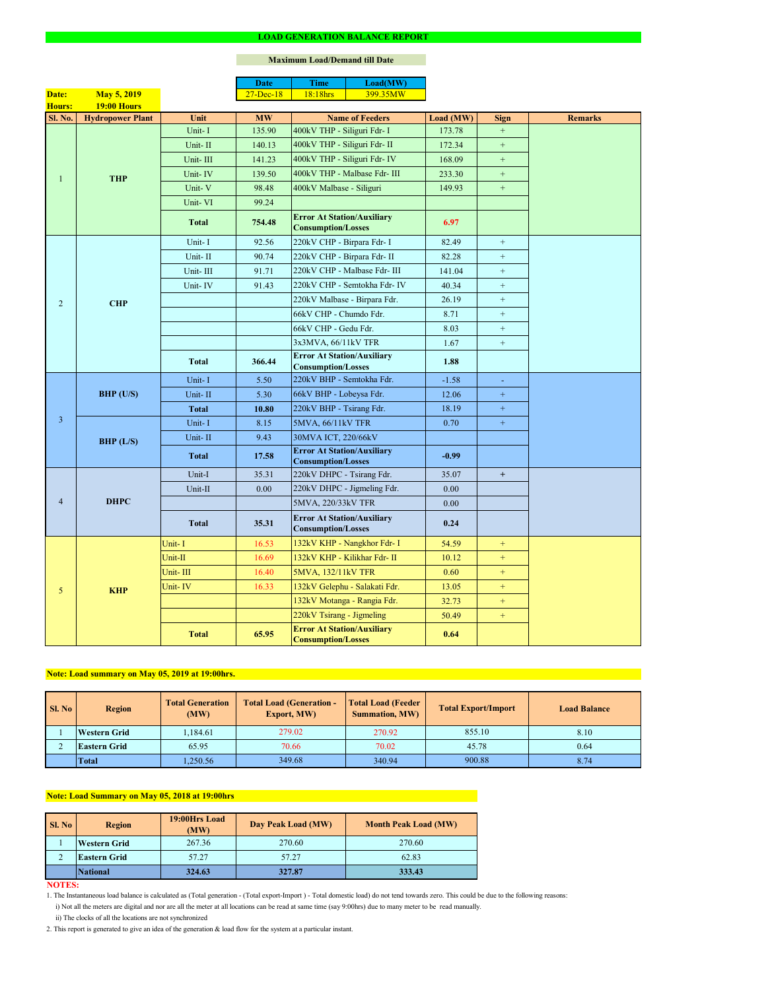## **NOTES:**

2. This report is generated to give an idea of the generation & load flow for the system at a particular instant.

## **Maximum Load/Demand till Date**

ii) The clocks of all the locations are not synchronized

1. The Instantaneous load balance is calculated as (Total generation - (Total export-Import ) - Total domestic load) do not tend towards zero. This could be due to the following reasons:

|                |                         |              | <b>Date</b>   | <b>Time</b>                                                    | Load(MW)                                                       |           |                  |                |
|----------------|-------------------------|--------------|---------------|----------------------------------------------------------------|----------------------------------------------------------------|-----------|------------------|----------------|
| Date:          | <b>May 5, 2019</b>      |              | $27 - Dec-18$ | 18:18hrs                                                       | 399.35MW                                                       |           |                  |                |
| Hours:         | 19:00 Hours             |              |               |                                                                |                                                                |           |                  |                |
| <b>Sl. No.</b> | <b>Hydropower Plant</b> | Unit         | <b>MW</b>     |                                                                | <b>Name of Feeders</b>                                         | Load (MW) | <b>Sign</b>      | <b>Remarks</b> |
|                |                         | Unit-I       | 135.90        | 400kV THP - Siliguri Fdr- I                                    |                                                                | 173.78    | $\pm$            |                |
|                |                         | Unit-II      | 140.13        | 400kV THP - Siliguri Fdr- II                                   |                                                                | 172.34    | $\boldsymbol{+}$ |                |
|                |                         | Unit-III     | 141.23        |                                                                | 400kV THP - Siliguri Fdr- IV                                   | 168.09    | $+$              |                |
| $\mathbf 1$    | <b>THP</b>              | Unit-IV      | 139.50        |                                                                | 400kV THP - Malbase Fdr- III                                   | 233.30    | $+$              |                |
|                |                         | Unit-V       | 98.48         | 400kV Malbase - Siliguri                                       |                                                                | 149.93    | $+$              |                |
|                |                         | Unit-VI      | 99.24         |                                                                |                                                                |           |                  |                |
|                |                         | <b>Total</b> | 754.48        |                                                                | <b>Error At Station/Auxiliary</b><br><b>Consumption/Losses</b> |           |                  |                |
|                |                         | Unit-I       | 92.56         | 220kV CHP - Birpara Fdr- I                                     |                                                                | 82.49     | $+$              |                |
|                |                         | Unit-II      | 90.74         | 220kV CHP - Birpara Fdr- II                                    |                                                                | 82.28     | $+$              |                |
|                |                         | Unit-III     | 91.71         |                                                                | 220kV CHP - Malbase Fdr- III                                   | 141.04    | $+$              |                |
|                |                         | Unit-IV      | 91.43         |                                                                | 220kV CHP - Semtokha Fdr- IV                                   | 40.34     | $+$              |                |
| 2              | <b>CHP</b>              |              |               |                                                                | 220kV Malbase - Birpara Fdr.                                   | 26.19     | $+$              |                |
|                |                         |              |               | 66kV CHP - Chumdo Fdr.                                         |                                                                | 8.71      | $+$              |                |
|                |                         |              |               | 66kV CHP - Gedu Fdr.                                           |                                                                | 8.03      | $+$              |                |
|                |                         |              |               | 3x3MVA, 66/11kV TFR                                            |                                                                | 1.67      | $\boldsymbol{+}$ |                |
|                |                         | <b>Total</b> | 366.44        | <b>Error At Station/Auxiliary</b><br><b>Consumption/Losses</b> |                                                                | 1.88      |                  |                |
|                | $BHP$ (U/S)             | Unit-I       | 5.50          | 220kV BHP - Semtokha Fdr.                                      |                                                                | $-1.58$   | $\blacksquare$   |                |
|                |                         | Unit-II      | 5.30          | 66kV BHP - Lobeysa Fdr.                                        |                                                                | 12.06     | $\pm$            |                |
|                |                         | <b>Total</b> | 10.80         | 220kV BHP - Tsirang Fdr.                                       |                                                                | 18.19     | $+$              |                |
| $\overline{3}$ |                         | Unit-I       | 8.15          | 5MVA, 66/11kV TFR                                              |                                                                | 0.70      | $\pm$            |                |
|                |                         | Unit-II      | 9.43          | 30MVA ICT, 220/66kV                                            |                                                                |           |                  |                |
|                | BHP (L/S)               |              |               | <b>Error At Station/Auxiliary</b>                              |                                                                |           |                  |                |
|                |                         | <b>Total</b> | 17.58         | <b>Consumption/Losses</b>                                      |                                                                | $-0.99$   |                  |                |
|                |                         | Unit-I       | 35.31         | 220kV DHPC - Tsirang Fdr.                                      |                                                                | 35.07     | $+$              |                |
|                | <b>DHPC</b>             | Unit-II      | 0.00          |                                                                | 220kV DHPC - Jigmeling Fdr.                                    | 0.00      |                  |                |
| $\overline{4}$ |                         |              |               | 5MVA, 220/33kV TFR                                             |                                                                | 0.00      |                  |                |
|                |                         | <b>Total</b> | 35.31         | <b>Error At Station/Auxiliary</b><br><b>Consumption/Losses</b> |                                                                | 0.24      |                  |                |
|                |                         | Unit-I       | 16.53         |                                                                | 132kV KHP - Nangkhor Fdr- I                                    | 54.59     | $+$              |                |
|                |                         | Unit-II      | 16.69         |                                                                | 132kV KHP - Kilikhar Fdr- II                                   | 10.12     | $+$              |                |
|                |                         | Unit-III     | 16.40         | 5MVA, 132/11kV TFR                                             |                                                                | 0.60      | $+$              |                |
| $\overline{5}$ | <b>KHP</b>              | Unit-IV      | 16.33         |                                                                | 132kV Gelephu - Salakati Fdr.                                  | 13.05     | $+$              |                |
|                |                         |              |               |                                                                | 132kV Motanga - Rangia Fdr.                                    | 32.73     | $+$              |                |
|                |                         |              |               | 220kV Tsirang - Jigmeling                                      |                                                                | 50.49     | $+$              |                |
|                |                         | <b>Total</b> | 65.95         | <b>Error At Station/Auxiliary</b><br><b>Consumption/Losses</b> |                                                                | 0.64      |                  |                |

| SI. No | <b>Total Generation</b><br><b>Region</b><br>(MW) |          | <b>Total Load (Generation -</b><br><b>Export, MW)</b> | <b>Total Load (Feeder</b><br><b>Summation, MW)</b> | <b>Total Export/Import</b> | <b>Load Balance</b> |
|--------|--------------------------------------------------|----------|-------------------------------------------------------|----------------------------------------------------|----------------------------|---------------------|
|        | <b>Western Grid</b>                              | 1,184.61 | 279.02                                                | 270.92                                             | 855.10                     | 8.10                |
|        | <b>Eastern Grid</b>                              | 65.95    | 70.66                                                 | 70.02                                              | 45.78                      | 0.64                |
|        | Total                                            | 1,250.56 | 349.68                                                | 340.94                                             | 900.88                     | 8.74                |

| SI. No | <b>Region</b>       | 19:00Hrs Load<br>(MW) | Day Peak Load (MW) | <b>Month Peak Load (MW)</b> |
|--------|---------------------|-----------------------|--------------------|-----------------------------|
|        | <b>Western Grid</b> | 267.36                | 270.60             | 270.60                      |
|        | <b>Eastern Grid</b> | 57.27                 | 57.27              | 62.83                       |
|        | <b>National</b>     | 324.63                | 327.87             | 333.43                      |

# **Note: Load summary on May 05, 2019 at 19:00hrs.**

i) Not all the meters are digital and nor are all the meter at all locations can be read at same time (say 9:00hrs) due to many meter to be read manually.

# **Note: Load Summary on May 05, 2018 at 19:00hrs**

### **LOAD GENERATION BALANCE REPORT**